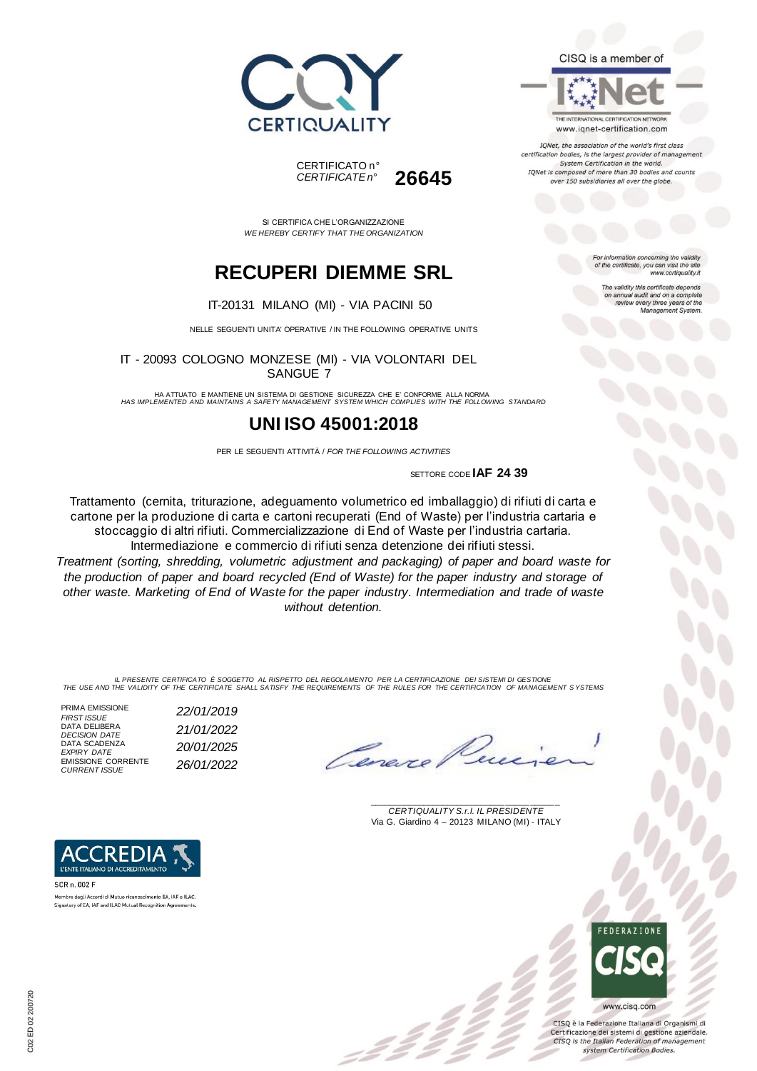





IQNet, the association of the world's first class certification bodies, is the largest provider of managen System Certification in the world. IQNet is composed of more than 30 bodies and counts over 150 subsidiaries all over the globe.

> For information concerning the validity<br>of the certificate, you can visit the site www.certiquality.it

> > The validity this certificate depends on annual audit and on a complete<br>review every three years of the<br>Management System.

CERTIFICATO n° *CERTIFICATE n°* **26645**

SI CERTIFICA CHE L'ORGANIZZAZIONE *WE HEREBY CERTIFY THAT THE ORGANIZATION*

## **RECUPERI DIEMME SRL**

IT-20131 MILANO (MI) - VIA PACINI 50

NELLE SEGUENTI UNITA' OPERATIVE / IN THE FOLLOWING OPERATIVE UNITS

IT - 20093 COLOGNO MONZESE (MI) - VIA VOLONTARI DEL SANGUE 7

HA ATTUATO E MANTIENE UN SISTEMA DI GESTIONE SICUREZZA CHE E' CONFORME ALLA NORMA *HAS IMPLEMENTED AND MAINTAINS A SAFETY MANAGEMENT SYSTEM WHICH COMPLIES WITH THE FOLLOWING STANDARD*

### **UNI ISO 45001:2018**

PER LE SEGUENTI ATTIVITÀ / *FOR THE FOLLOWING ACTIVITIES*

SETTORE CODE **IAF 24 39**

Trattamento (cernita, triturazione, adeguamento volumetrico ed imballaggio) di rifiuti di carta e cartone per la produzione di carta e cartoni recuperati (End of Waste) per l'industria cartaria e stoccaggio di altri rifiuti. Commercializzazione di End of Waste per l'industria cartaria. Intermediazione e commercio di rifiuti senza detenzione dei rifiuti stessi.

*Treatment (sorting, shredding, volumetric adjustment and packaging) of paper and board waste for the production of paper and board recycled (End of Waste) for the paper industry and storage of other waste. Marketing of End of Waste for the paper industry. Intermediation and trade of waste without detention.*

IL PRESENTE CERTIFICATO E SOGGETTO AL RISPETTO DEL REGOLAMENTO PER LA CERTIFICAZIONE DEI SISTEMI DI GESTIONE<br>THE USE AND THE VALIDITY OF THE CERTIFICATE SHALL SATISFY THE REQUIREMENTS OF THE RULES FOR THE CERTIFICATION OF

PRIMA EMISSIONE<br>FIRST ISSUE DATA DELIBERA *DECISION DATE 21/01/2022* DATA SCADENZA<br>EXPIRY DATE EMISSIONE CORRENTE<br>CURRENT ISSUE *FIRST ISSUE 22/01/2019 EXPIRY DATE 20/01/2025 CURRENT ISSUE 26/01/2022*



\_\_\_\_\_\_\_\_\_\_\_\_\_\_\_\_\_\_\_\_\_\_\_\_\_\_\_\_\_\_\_\_\_\_\_\_\_\_\_ *CERTIQUALITY S.r.l. IL PRESIDENTE* Via G. Giardino 4 – 20123 MILANO (MI) - ITALY



CISO è la Federazione Italiana di Organismi di Certificazione dei sistemi di gestione aziendale. CISQ is the Italian Federation of management system Certification Bodies.





Signatory of EA, IAF and ILAC Mutual Recognition Agreements.